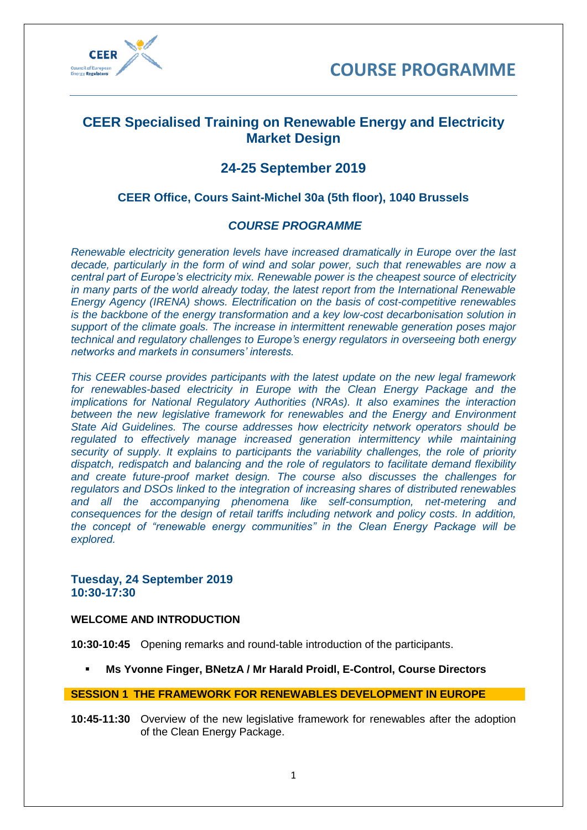



# **CEER Specialised Training on Renewable Energy and Electricity Market Design**

# **24-25 September 2019**

# **CEER Office, Cours Saint-Michel 30a (5th floor), 1040 Brussels**

# *COURSE PROGRAMME*

*Renewable electricity generation levels have increased dramatically in Europe over the last decade, particularly in the form of wind and solar power, such that renewables are now a central part of Europe's electricity mix. Renewable power is the cheapest source of electricity in many parts of the world already today, the latest report from the International Renewable Energy Agency (IRENA) shows. Electrification on the basis of cost-competitive renewables is the backbone of the energy transformation and a key low-cost decarbonisation solution in support of the climate goals. The increase in intermittent renewable generation poses major technical and regulatory challenges to Europe's energy regulators in overseeing both energy networks and markets in consumers' interests.*

*This CEER course provides participants with the latest update on the new legal framework for renewables-based electricity in Europe with the Clean Energy Package and the implications for National Regulatory Authorities (NRAs). It also examines the interaction between the new legislative framework for renewables and the Energy and Environment State Aid Guidelines. The course addresses how electricity network operators should be regulated to effectively manage increased generation intermittency while maintaining security of supply. It explains to participants the variability challenges, the role of priority dispatch, redispatch and balancing and the role of regulators to facilitate demand flexibility and create future-proof market design. The course also discusses the challenges for regulators and DSOs linked to the integration of increasing shares of distributed renewables and all the accompanying phenomena like self-consumption, net-metering and consequences for the design of retail tariffs including network and policy costs. In addition, the concept of "renewable energy communities" in the Clean Energy Package will be explored.*

### **Tuesday, 24 September 2019 10:30-17:30**

#### **WELCOME AND INTRODUCTION**

**10:30-10:45** Opening remarks and round-table introduction of the participants.

▪ **Ms Yvonne Finger, BNetzA / Mr Harald Proidl, E-Control, Course Directors**

#### **SESSION 1 THE FRAMEWORK FOR RENEWABLES DEVELOPMENT IN EUROPE**

**10:45-11:30** Overview of the new legislative framework for renewables after the adoption of the Clean Energy Package.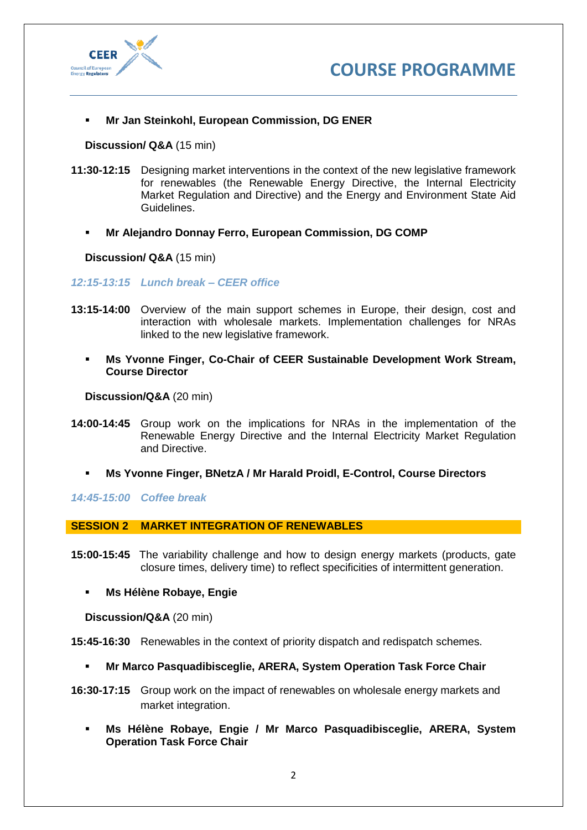



▪ **Mr Jan Steinkohl, European Commission, DG ENER**

**Discussion/ Q&A** (15 min)

- **11:30-12:15** Designing market interventions in the context of the new legislative framework for renewables (the Renewable Energy Directive, the Internal Electricity Market Regulation and Directive) and the Energy and Environment State Aid Guidelines.
	- **Mr Alejandro Donnay Ferro, European Commission, DG COMP**

**Discussion/ Q&A** (15 min)

*12:15-13:15 Lunch break – CEER office*

- **13:15-14:00** Overview of the main support schemes in Europe, their design, cost and interaction with wholesale markets. Implementation challenges for NRAs linked to the new legislative framework.
	- **Ms Yvonne Finger, Co-Chair of CEER Sustainable Development Work Stream. Course Director**

**Discussion/Q&A** (20 min)

- **14:00-14:45** Group work on the implications for NRAs in the implementation of the Renewable Energy Directive and the Internal Electricity Market Regulation and Directive.
	- **Ms Yvonne Finger, BNetzA / Mr Harald Proidl, E-Control, Course Directors**

*14:45-15:00 Coffee break*

**SESSION 2 MARKET INTEGRATION OF RENEWABLES** 

- **15:00-15:45** The variability challenge and how to design energy markets (products, gate closure times, delivery time) to reflect specificities of intermittent generation.
	- **Ms Hélène Robaye, Engie**

**Discussion/Q&A** (20 min)

**15:45-16:30** Renewables in the context of priority dispatch and redispatch schemes.

- **Mr Marco Pasquadibisceglie, ARERA, System Operation Task Force Chair**
- **16:30-17:15** Group work on the impact of renewables on wholesale energy markets and market integration.
	- **Ms Hélène Robaye, Engie / Mr Marco Pasquadibisceglie, ARERA, System Operation Task Force Chair**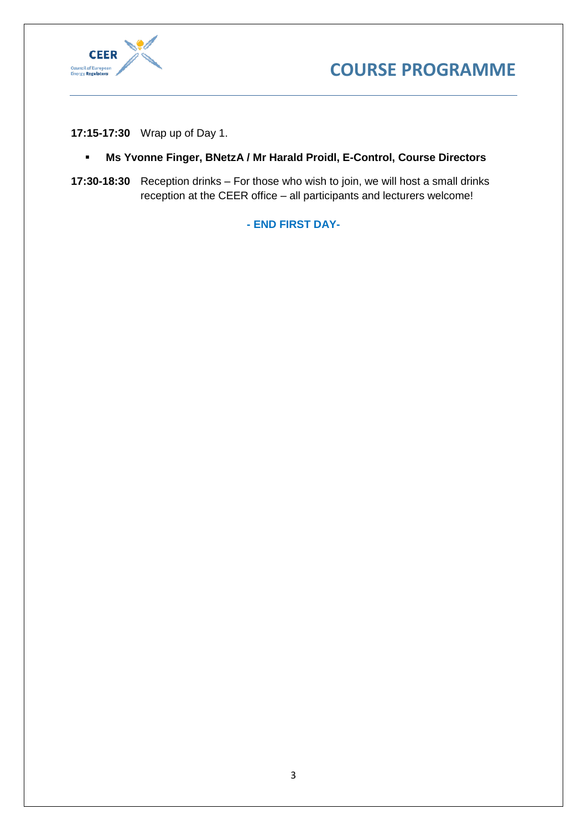



**17:15-17:30** Wrap up of Day 1.

- **Ms Yvonne Finger, BNetzA / Mr Harald Proidl, E-Control, Course Directors**
- **17:30-18:30** Reception drinks For those who wish to join, we will host a small drinks reception at the CEER office – all participants and lecturers welcome!

**- END FIRST DAY-**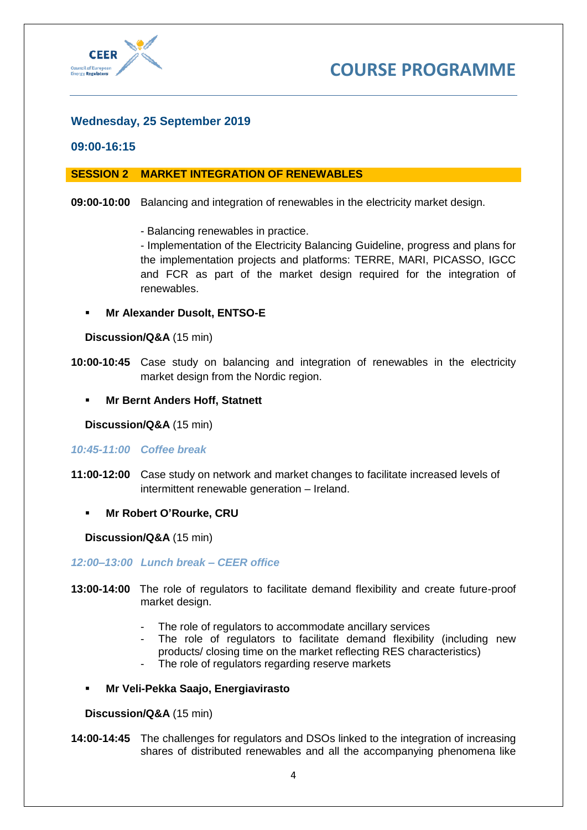

# **Wednesday, 25 September 2019**

#### **09:00-16:15**

### **SESSION 2 MARKET INTEGRATION OF RENEWABLES**

#### **09:00-10:00** Balancing and integration of renewables in the electricity market design.

- Balancing renewables in practice.

- Implementation of the Electricity Balancing Guideline, progress and plans for the implementation projects and platforms: TERRE, MARI, PICASSO, IGCC and FCR as part of the market design required for the integration of renewables.

▪ **Mr Alexander Dusolt, ENTSO-E**

#### **Discussion/Q&A** (15 min)

- **10:00-10:45** Case study on balancing and integration of renewables in the electricity market design from the Nordic region.
	- **Mr Bernt Anders Hoff, Statnett**

**Discussion/Q&A** (15 min)

#### *10:45-11:00 Coffee break*

- **11:00-12:00** Case study on network and market changes to facilitate increased levels of intermittent renewable generation – Ireland.
	- **Mr Robert O'Rourke, CRU**

**Discussion/Q&A** (15 min)

*12:00–13:00 Lunch break – CEER office*

- **13:00-14:00** The role of regulators to facilitate demand flexibility and create future-proof market design.
	- The role of regulators to accommodate ancillary services
	- The role of regulators to facilitate demand flexibility (including new products/ closing time on the market reflecting RES characteristics)
	- The role of regulators regarding reserve markets
	- **Mr Veli-Pekka Saajo, Energiavirasto**

#### **Discussion/Q&A** (15 min)

**14:00-14:45** The challenges for regulators and DSOs linked to the integration of increasing shares of distributed renewables and all the accompanying phenomena like